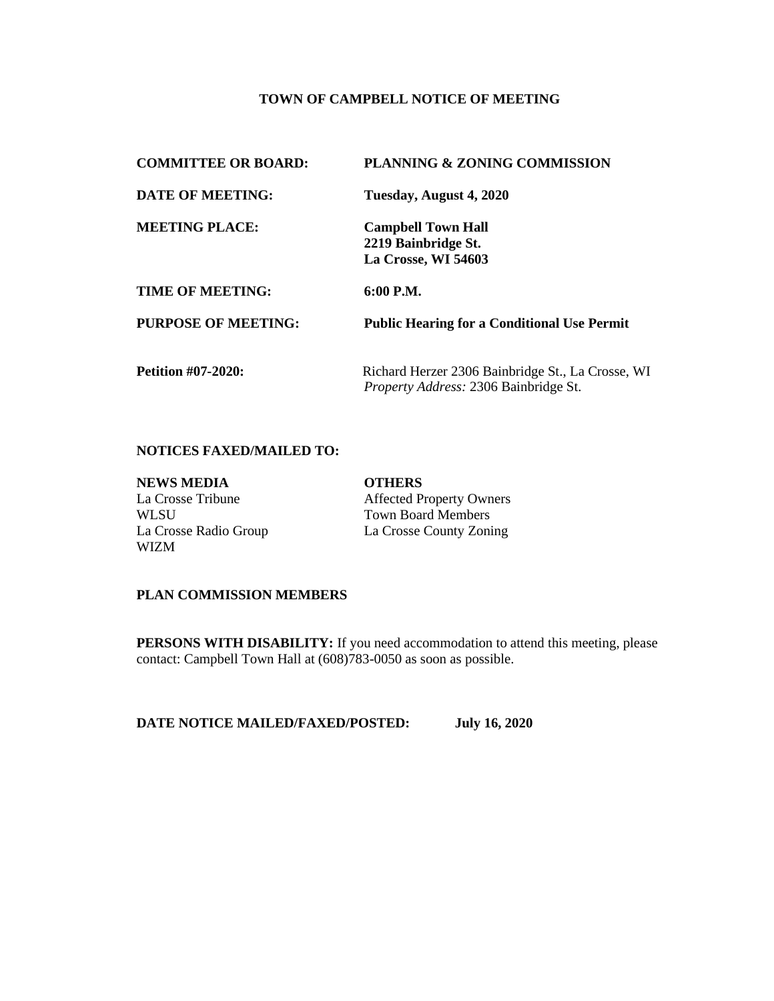#### **TOWN OF CAMPBELL NOTICE OF MEETING**

| <b>COMMITTEE OR BOARD:</b> | <b>PLANNING &amp; ZONING COMMISSION</b>                                                    |
|----------------------------|--------------------------------------------------------------------------------------------|
| DATE OF MEETING:           | Tuesday, August 4, 2020                                                                    |
| <b>MEETING PLACE:</b>      | <b>Campbell Town Hall</b><br>2219 Bainbridge St.<br>La Crosse, WI 54603                    |
| <b>TIME OF MEETING:</b>    | $6:00$ P.M.                                                                                |
| PURPOSE OF MEETING:        | <b>Public Hearing for a Conditional Use Permit</b>                                         |
| <b>Petition #07-2020:</b>  | Richard Herzer 2306 Bainbridge St., La Crosse, WI<br>Property Address: 2306 Bainbridge St. |

#### **NOTICES FAXED/MAILED TO:**

| <b>NEWS MEDIA</b>     | <b>OTHERS</b>                   |
|-----------------------|---------------------------------|
| La Crosse Tribune     | <b>Affected Property Owners</b> |
| WLSU                  | <b>Town Board Members</b>       |
| La Crosse Radio Group | La Crosse County Zoning         |
| <b>WIZM</b>           |                                 |

### **PLAN COMMISSION MEMBERS**

**PERSONS WITH DISABILITY:** If you need accommodation to attend this meeting, please contact: Campbell Town Hall at (608)783-0050 as soon as possible.

**DATE NOTICE MAILED/FAXED/POSTED: July 16, 2020**